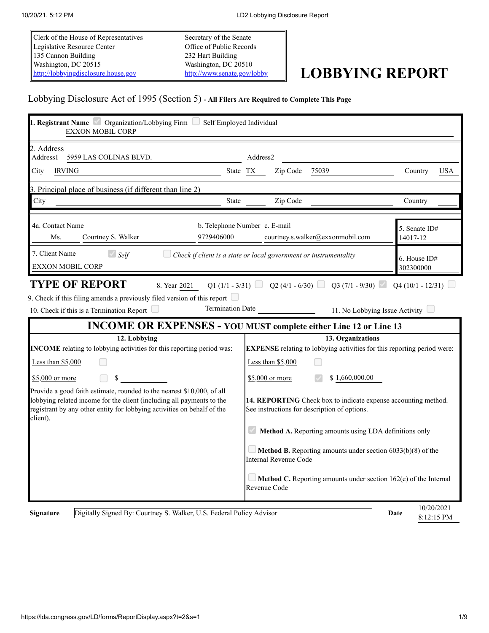Clerk of the House of Representatives Legislative Resource Center 135 Cannon Building Washington, DC 20515 [http://lobbyingdisclosure.house.gov](http://lobbyingdisclosure.house.gov/)

Secretary of the Senate Office of Public Records 232 Hart Building Washington, DC 20510

# <http://www.senate.gov/lobby> **LOBBYING REPORT**

#### Lobbying Disclosure Act of 1995 (Section 5) **- All Filers Are Required to Complete This Page**

| 1. Registrant Name <i>Organization/Lobbying Firm Self Employed Individual</i><br><b>EXXON MOBIL CORP</b>                                                                                                                                                                                                                                                 |                                                                                                           |                                  |  |  |
|----------------------------------------------------------------------------------------------------------------------------------------------------------------------------------------------------------------------------------------------------------------------------------------------------------------------------------------------------------|-----------------------------------------------------------------------------------------------------------|----------------------------------|--|--|
| 2. Address<br>Address1<br>5959 LAS COLINAS BLVD.                                                                                                                                                                                                                                                                                                         | Address2                                                                                                  |                                  |  |  |
| City<br><b>IRVING</b>                                                                                                                                                                                                                                                                                                                                    | Zip Code<br>75039<br>State TX                                                                             | Country<br><b>USA</b>            |  |  |
| 3. Principal place of business (if different than line 2)                                                                                                                                                                                                                                                                                                |                                                                                                           |                                  |  |  |
| City<br><b>State</b>                                                                                                                                                                                                                                                                                                                                     | Zip Code                                                                                                  | Country                          |  |  |
| 4a. Contact Name<br>9729406000<br>Ms.<br>Courtney S. Walker                                                                                                                                                                                                                                                                                              | b. Telephone Number c. E-mail<br>courtney.s.walker@exxonmobil.com                                         | 5. Senate ID#<br>14017-12        |  |  |
| 7. Client Name<br>$\bigcirc$ Self<br><b>EXXON MOBIL CORP</b>                                                                                                                                                                                                                                                                                             | Check if client is a state or local government or instrumentality                                         | 6. House ID#<br>302300000        |  |  |
| 9. Check if this filing amends a previously filed version of this report $\Box$<br><b>Termination Date</b><br>10. Check if this is a Termination Report $\Box$                                                                                                                                                                                           | 11. No Lobbying Issue Activity<br><b>INCOME OR EXPENSES - YOU MUST complete either Line 12 or Line 13</b> |                                  |  |  |
| 12. Lobbying                                                                                                                                                                                                                                                                                                                                             | 13. Organizations                                                                                         |                                  |  |  |
| INCOME relating to lobbying activities for this reporting period was:                                                                                                                                                                                                                                                                                    | <b>EXPENSE</b> relating to lobbying activities for this reporting period were:                            |                                  |  |  |
| Less than \$5,000                                                                                                                                                                                                                                                                                                                                        | Less than \$5,000                                                                                         |                                  |  |  |
| $$5,000$ or more<br>\$                                                                                                                                                                                                                                                                                                                                   | \$1,660,000.00<br>\$5,000 or more                                                                         |                                  |  |  |
| Provide a good faith estimate, rounded to the nearest \$10,000, of all<br>lobbying related income for the client (including all payments to the<br>14. REPORTING Check box to indicate expense accounting method.<br>registrant by any other entity for lobbying activities on behalf of the<br>See instructions for description of options.<br>client). |                                                                                                           |                                  |  |  |
|                                                                                                                                                                                                                                                                                                                                                          | Method A. Reporting amounts using LDA definitions only                                                    |                                  |  |  |
|                                                                                                                                                                                                                                                                                                                                                          | <b>Method B.</b> Reporting amounts under section $6033(b)(8)$ of the<br>Internal Revenue Code             |                                  |  |  |
|                                                                                                                                                                                                                                                                                                                                                          | Method C. Reporting amounts under section 162(e) of the Internal<br>Revenue Code                          |                                  |  |  |
| Digitally Signed By: Courtney S. Walker, U.S. Federal Policy Advisor<br><b>Signature</b>                                                                                                                                                                                                                                                                 |                                                                                                           | 10/20/2021<br>Date<br>8:12:15 PM |  |  |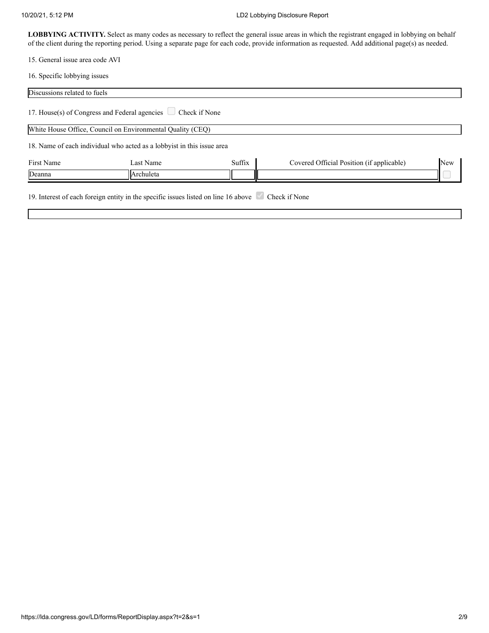#### 10/20/21, 5:12 PM LD2 Lobbying Disclosure Report

LOBBYING ACTIVITY. Select as many codes as necessary to reflect the general issue areas in which the registrant engaged in lobbying on behalf of the client during the reporting period. Using a separate page for each code, provide information as requested. Add additional page(s) as needed.

15. General issue area code AVI

16. Specific lobbying issues

| Discussions related to fuels |                                                                                    |        |                                           |            |
|------------------------------|------------------------------------------------------------------------------------|--------|-------------------------------------------|------------|
|                              | 17. House(s) of Congress and Federal agencies $\Box$ Check if None                 |        |                                           |            |
|                              | White House Office, Council on Environmental Quality (CEQ)                         |        |                                           |            |
|                              | 18. Name of each individual who acted as a lobby ist in this issue area            |        |                                           |            |
| First Name                   | Last Name                                                                          | Suffix | Covered Official Position (if applicable) | <b>New</b> |
| Deanna                       | Archuleta                                                                          |        |                                           |            |
|                              | 19. Interest of each foreign entity in the specific issues listed on line 16 above |        | Check if None                             |            |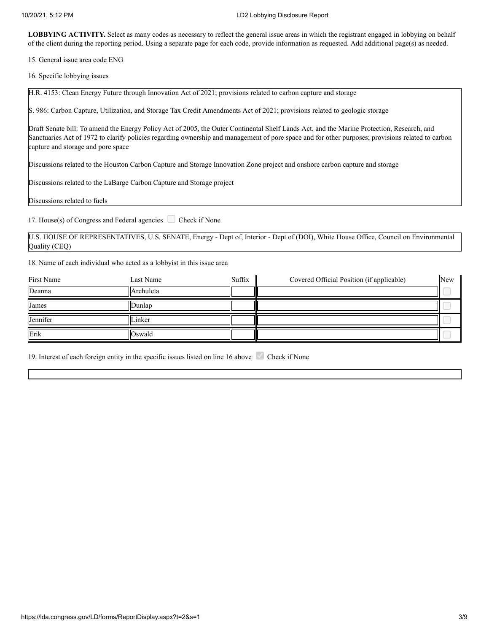15. General issue area code ENG

16. Specific lobbying issues

H.R. 4153: Clean Energy Future through Innovation Act of 2021; provisions related to carbon capture and storage

S. 986: Carbon Capture, Utilization, and Storage Tax Credit Amendments Act of 2021; provisions related to geologic storage

Draft Senate bill: To amend the Energy Policy Act of 2005, the Outer Continental Shelf Lands Act, and the Marine Protection, Research, and Sanctuaries Act of 1972 to clarify policies regarding ownership and management of pore space and for other purposes; provisions related to carbon capture and storage and pore space

Discussions related to the Houston Carbon Capture and Storage Innovation Zone project and onshore carbon capture and storage

Discussions related to the LaBarge Carbon Capture and Storage project

Discussions related to fuels

17. House(s) of Congress and Federal agencies  $\Box$  Check if None

U.S. HOUSE OF REPRESENTATIVES, U.S. SENATE, Energy - Dept of, Interior - Dept of (DOI), White House Office, Council on Environmental Quality (CEQ)

18. Name of each individual who acted as a lobbyist in this issue area

| First Name | Last Name      | Suffix | Covered Official Position (if applicable) | <b>New</b> |
|------------|----------------|--------|-------------------------------------------|------------|
| Deanna     | Archuleta      |        |                                           |            |
| James      | IDunlap        |        |                                           |            |
| Jennifer   | <b>ILinker</b> |        |                                           |            |
| Erik       | <b>Oswald</b>  |        |                                           |            |

19. Interest of each foreign entity in the specific issues listed on line 16 above Check if None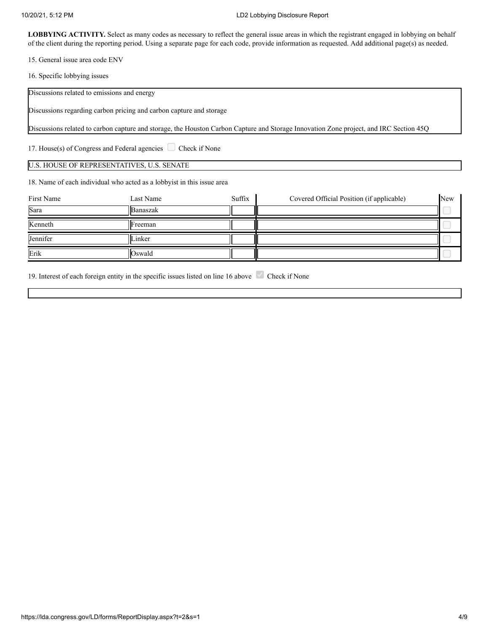#### 10/20/21, 5:12 PM LD2 Lobbying Disclosure Report

LOBBYING ACTIVITY. Select as many codes as necessary to reflect the general issue areas in which the registrant engaged in lobbying on behalf of the client during the reporting period. Using a separate page for each code, provide information as requested. Add additional page(s) as needed.

15. General issue area code ENV

16. Specific lobbying issues

Discussions related to emissions and energy

Discussions regarding carbon pricing and carbon capture and storage

Discussions related to carbon capture and storage, the Houston Carbon Capture and Storage Innovation Zone project, and IRC Section 45Q

17. House(s) of Congress and Federal agencies  $\Box$  Check if None

#### U.S. HOUSE OF REPRESENTATIVES, U.S. SENATE

18. Name of each individual who acted as a lobbyist in this issue area

| First Name | Last Name        | Suffix | Covered Official Position (if applicable) | <b>New</b> |
|------------|------------------|--------|-------------------------------------------|------------|
| Sara       | <b>IBanaszak</b> |        |                                           |            |
| Kenneth    | <b>IF</b> reeman |        |                                           |            |
| Jennifer   | lLinker          |        |                                           |            |
| Erik       | <b>Oswald</b>    |        |                                           |            |

19. Interest of each foreign entity in the specific issues listed on line 16 above Check if None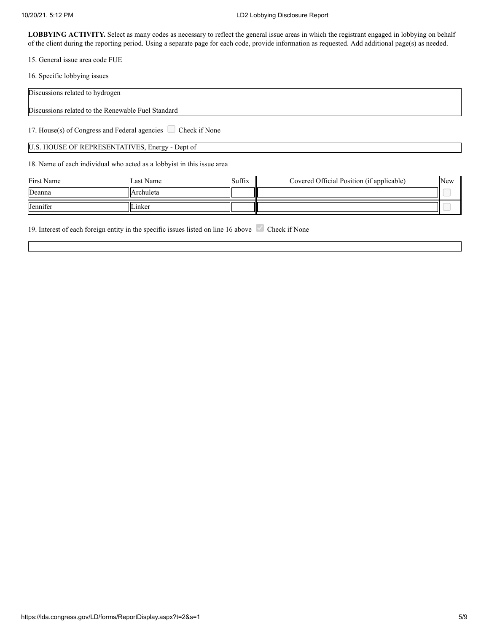15. General issue area code FUE

16. Specific lobbying issues

| Discussions related to hydrogen                                                                     |                                                 |        |                                           |     |  |  |
|-----------------------------------------------------------------------------------------------------|-------------------------------------------------|--------|-------------------------------------------|-----|--|--|
| Discussions related to the Renewable Fuel Standard                                                  |                                                 |        |                                           |     |  |  |
| 17. House(s) of Congress and Federal agencies $\Box$ Check if None                                  |                                                 |        |                                           |     |  |  |
|                                                                                                     | U.S. HOUSE OF REPRESENTATIVES, Energy - Dept of |        |                                           |     |  |  |
| 18. Name of each individual who acted as a lobbyist in this issue area                              |                                                 |        |                                           |     |  |  |
| First Name                                                                                          | Last Name                                       | Suffix | Covered Official Position (if applicable) | New |  |  |
| Deanna                                                                                              | Archuleta                                       |        |                                           |     |  |  |
| Jennifer                                                                                            | Linker                                          |        |                                           |     |  |  |
| 19. Interest of each foreign entity in the specific issues listed on line 16 above<br>Check if None |                                                 |        |                                           |     |  |  |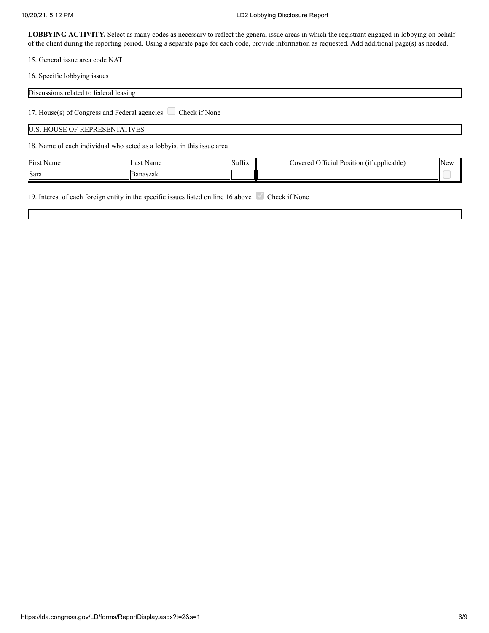15. General issue area code NAT

16. Specific lobbying issues

| Discussions related to federal leasing |                                                                                                |        |                                           |     |
|----------------------------------------|------------------------------------------------------------------------------------------------|--------|-------------------------------------------|-----|
|                                        | 17. House(s) of Congress and Federal agencies $\Box$ Check if None                             |        |                                           |     |
| <b>U.S. HOUSE OF REPRESENTATIVES</b>   |                                                                                                |        |                                           |     |
|                                        | 18. Name of each individual who acted as a lobby ist in this issue area                        |        |                                           |     |
| First Name                             | Last Name                                                                                      | Suffix | Covered Official Position (if applicable) | New |
| Sara                                   | Banaszak                                                                                       |        |                                           |     |
|                                        | 19. Interest of each foreign entity in the specific issues listed on line 16 above $\sqrt{\ }$ |        | Check if None                             |     |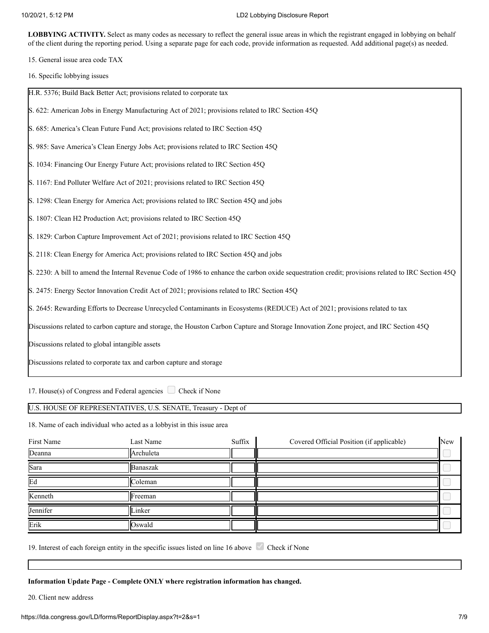15. General issue area code TAX

16. Specific lobbying issues

| H.R. 5376; Build Back Better Act; provisions related to corporate tax                                                                              |
|----------------------------------------------------------------------------------------------------------------------------------------------------|
| S. 622: American Jobs in Energy Manufacturing Act of 2021; provisions related to IRC Section 45Q                                                   |
| S. 685: America's Clean Future Fund Act; provisions related to IRC Section 45Q                                                                     |
| S. 985: Save America's Clean Energy Jobs Act; provisions related to IRC Section 45Q                                                                |
| S. 1034: Financing Our Energy Future Act; provisions related to IRC Section 45Q                                                                    |
| S. 1167: End Polluter Welfare Act of 2021; provisions related to IRC Section 45Q                                                                   |
| S. 1298: Clean Energy for America Act; provisions related to IRC Section 45Q and jobs                                                              |
| S. 1807: Clean H2 Production Act; provisions related to IRC Section 45Q                                                                            |
| S. 1829: Carbon Capture Improvement Act of 2021; provisions related to IRC Section 45Q                                                             |
| S. 2118: Clean Energy for America Act; provisions related to IRC Section 45Q and jobs                                                              |
| S. 2230: A bill to amend the Internal Revenue Code of 1986 to enhance the carbon oxide sequestration credit; provisions related to IRC Section 45Q |
| S. 2475: Energy Sector Innovation Credit Act of 2021; provisions related to IRC Section 45Q                                                        |
| S. 2645: Rewarding Efforts to Decrease Unrecycled Contaminants in Ecosystems (REDUCE) Act of 2021; provisions related to tax                       |
| Discussions related to carbon capture and storage, the Houston Carbon Capture and Storage Innovation Zone project, and IRC Section 45Q             |
| Discussions related to global intangible assets                                                                                                    |
| Discussions related to corporate tax and carbon capture and storage                                                                                |
|                                                                                                                                                    |

17. House(s) of Congress and Federal agencies  $\Box$  Check if None

U.S. HOUSE OF REPRESENTATIVES, U.S. SENATE, Treasury - Dept of

18. Name of each individual who acted as a lobbyist in this issue area

| First Name | Last Name | Suffix | Covered Official Position (if applicable) | New |
|------------|-----------|--------|-------------------------------------------|-----|
| Deanna     | Archuleta |        |                                           |     |
| Sara       | Banaszak  |        |                                           |     |
| Ed         | Coleman   |        |                                           |     |
| Kenneth    | Freeman   |        |                                           |     |
| Jennifer   | Linker    |        |                                           |     |
| Erik       | Oswald    |        |                                           |     |

19. Interest of each foreign entity in the specific issues listed on line 16 above Check if None

**Information Update Page - Complete ONLY where registration information has changed.**

20. Client new address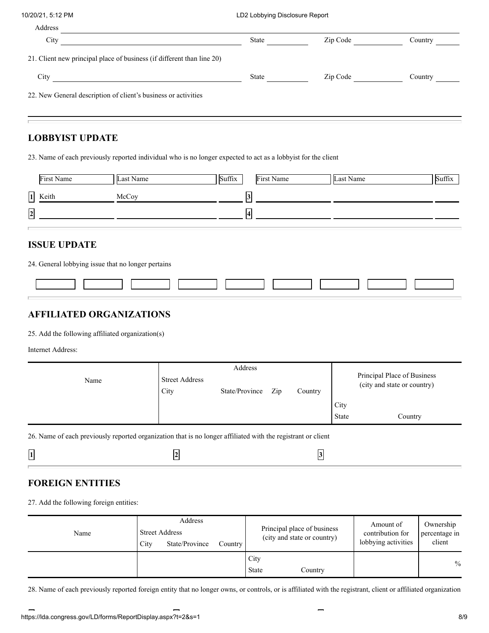| Address                                                                |              |          |         |
|------------------------------------------------------------------------|--------------|----------|---------|
| City                                                                   | <b>State</b> | Zip Code | Country |
| 21. Client new principal place of business (if different than line 20) |              |          |         |
| City                                                                   | <b>State</b> | Zip Code | Country |
| 22. New General description of client's business or activities         |              |          |         |

## **LOBBYIST UPDATE**

23. Name of each previously reported individual who is no longer expected to act as a lobbyist for the client

|            | First Name       | Last Name | Suffix | First Name | Last Name | Suffix |
|------------|------------------|-----------|--------|------------|-----------|--------|
|            | $\sqrt{1}$ Keith | McCoy     |        |            |           |        |
| $\sqrt{2}$ |                  |           |        |            |           |        |
|            |                  |           |        |            |           |        |

#### **ISSUE UPDATE**

24. General lobbying issue that no longer pertains

## **AFFILIATED ORGANIZATIONS**

25. Add the following affiliated organization(s)

Internet Address:

|      |                               | Address        |     |         |       |                                                            |
|------|-------------------------------|----------------|-----|---------|-------|------------------------------------------------------------|
| Name | <b>Street Address</b><br>City | State/Province | Zip | Country |       | Principal Place of Business<br>(city and state or country) |
|      |                               |                |     |         | City  |                                                            |
|      |                               |                |     |         | State | Country                                                    |

26. Name of each previously reported organization that is no longer affiliated with the registrant or client

| $\Box$<br>-<br> 1<br>一 |  |
|------------------------|--|
|------------------------|--|

# **FOREIGN ENTITIES**

27. Add the following foreign entities:

| Name | <b>Street Address</b><br>City | Address<br>State/Province | Country |                      | Principal place of business<br>(city and state or country) | Amount of<br>contribution for<br>lobbying activities | Ownership<br>percentage in<br>client |
|------|-------------------------------|---------------------------|---------|----------------------|------------------------------------------------------------|------------------------------------------------------|--------------------------------------|
|      |                               |                           |         | City<br><b>State</b> | Country                                                    |                                                      | $\frac{0}{0}$                        |

28. Name of each previously reported foreign entity that no longer owns, or controls, or is affiliated with the registrant, client or affiliated organization